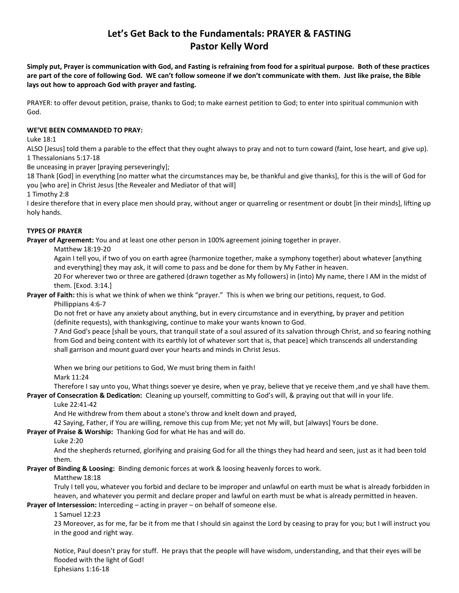# **Let's Get Back to the Fundamentals: PRAYER & FASTING Pastor Kelly Word**

**Simply put, Prayer is communication with God, and Fasting is refraining from food for a spiritual purpose. Both of these practices are part of the core of following God. WE can't follow someone if we don't communicate with them. Just like praise, the Bible lays out how to approach God with prayer and fasting.**

PRAYER: to offer devout petition, praise, thanks to God; to make earnest petition to God; to enter into spiritual communion with God.

# **WE'VE BEEN COMMANDED TO PRAY:**

Luke 18:1

ALSO [Jesus] told them a parable to the effect that they ought always to pray and not to turn coward (faint, lose heart, and give up). 1 Thessalonians 5:17-18

Be unceasing in prayer [praying perseveringly];

18 Thank [God] in everything [no matter what the circumstances may be, be thankful and give thanks], for this is the will of God for you [who are] in Christ Jesus [the Revealer and Mediator of that will]

1 Timothy 2:8

I desire therefore that in every place men should pray, without anger or quarreling or resentment or doubt [in their minds], lifting up holy hands.

### **TYPES OF PRAYER**

**Prayer of Agreement:** You and at least one other person in 100% agreement joining together in prayer.

Matthew 18:19-20

Again I tell you, if two of you on earth agree (harmonize together, make a symphony together) about whatever [anything and everything] they may ask, it will come to pass and be done for them by My Father in heaven.

20 For wherever two or three are gathered (drawn together as My followers) in (into) My name, there I AM in the midst of them. [Exod. 3:14.]

**Prayer of Faith:** this is what we think of when we think "prayer." This is when we bring our petitions, request, to God. Phillippians 4:6-7

Do not fret or have any anxiety about anything, but in every circumstance and in everything, by prayer and petition (definite requests), with thanksgiving, continue to make your wants known to God.

7 And God's peace [shall be yours, that tranquil state of a soul assured of its salvation through Christ, and so fearing nothing from God and being content with its earthly lot of whatever sort that is, that peace] which transcends all understanding shall garrison and mount guard over your hearts and minds in Christ Jesus.

When we bring our petitions to God, We must bring them in faith! Mark 11:24

Therefore I say unto you, What things soever ye desire, when ye pray, believe that ye receive them ,and ye shall have them.

**Prayer of Consecration & Dedication:** Cleaning up yourself, committing to God's will, & praying out that will in your life.

# Luke 22:41-42

And He withdrew from them about a stone's throw and knelt down and prayed,

42 Saying, Father, if You are willing, remove this cup from Me; yet not My will, but [always] Yours be done.

**Prayer of Praise & Worship:** Thanking God for what He has and will do.

#### Luke 2:20

And the shepherds returned, glorifying and praising God for all the things they had heard and seen, just as it had been told them.

**Prayer of Binding & Loosing:** Binding demonic forces at work & loosing heavenly forces to work.

# Matthew 18:18

Truly I tell you, whatever you forbid and declare to be improper and unlawful on earth must be what is already forbidden in heaven, and whatever you permit and declare proper and lawful on earth must be what is already permitted in heaven.

**Prayer of Intersession:** Interceding – acting in prayer – on behalf of someone else.

# 1 Samuel 12:23

23 Moreover, as for me, far be it from me that I should sin against the Lord by ceasing to pray for you; but I will instruct you in the good and right way.

Notice, Paul doesn't pray for stuff. He prays that the people will have wisdom, understanding, and that their eyes will be flooded with the light of God! Ephesians 1:16-18